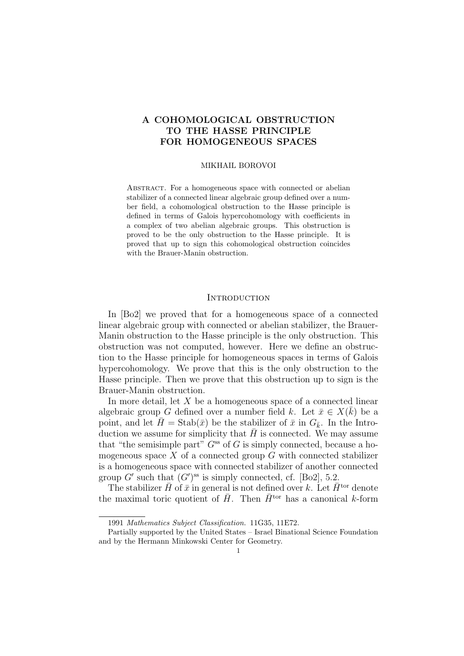# A COHOMOLOGICAL OBSTRUCTION TO THE HASSE PRINCIPLE FOR HOMOGENEOUS SPACES

#### MIKHAIL BOROVOI

ABSTRACT. For a homogeneous space with connected or abelian stabilizer of a connected linear algebraic group defined over a number field, a cohomological obstruction to the Hasse principle is defined in terms of Galois hypercohomology with coefficients in a complex of two abelian algebraic groups. This obstruction is proved to be the only obstruction to the Hasse principle. It is proved that up to sign this cohomological obstruction coincides with the Brauer-Manin obstruction.

## **INTRODUCTION**

In [Bo2] we proved that for a homogeneous space of a connected linear algebraic group with connected or abelian stabilizer, the Brauer-Manin obstruction to the Hasse principle is the only obstruction. This obstruction was not computed, however. Here we define an obstruction to the Hasse principle for homogeneous spaces in terms of Galois hypercohomology. We prove that this is the only obstruction to the Hasse principle. Then we prove that this obstruction up to sign is the Brauer-Manin obstruction.

In more detail, let  $X$  be a homogeneous space of a connected linear algebraic group G defined over a number field k. Let  $\bar{x} \in X(\bar{k})$  be a point, and let  $\bar{H} = \text{Stab}(\bar{x})$  be the stabilizer of  $\bar{x}$  in  $G_{\bar{k}}$ . In the Introduction we assume for simplicity that  $\bar{H}$  is connected. We may assume that "the semisimple part"  $G^{ss}$  of G is simply connected, because a homogeneous space  $X$  of a connected group  $G$  with connected stabilizer is a homogeneous space with connected stabilizer of another connected group G' such that  $(G')^{\text{ss}}$  is simply connected, cf. [Bo2], 5.2.

The stabilizer  $\bar{H}$  of  $\bar{x}$  in general is not defined over k. Let  $\bar{H}^{tor}$  denote the maximal toric quotient of  $\bar{H}$ . Then  $\bar{H}^{tor}$  has a canonical k-form

<sup>1991</sup> Mathematics Subject Classification. 11G35, 11E72.

Partially supported by the United States – Israel Binational Science Foundation and by the Hermann Minkowski Center for Geometry.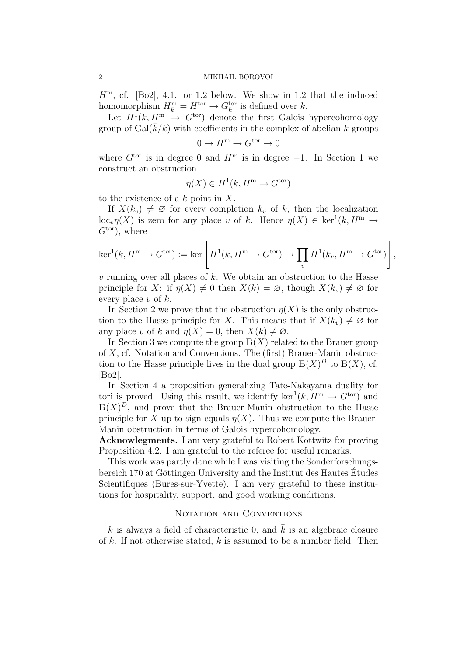$H<sup>m</sup>$ , cf. [Bo2], 4.1. or 1.2 below. We show in 1.2 that the induced homomorphism  $H_{\bar{k}}^{\text{m}} = \bar{H}^{\text{tor}} \to G_{\bar{k}}^{\text{tor}}$  is defined over k.

Let  $H^1(k, H^m \rightarrow G^{\text{tor}})$  denote the first Galois hypercohomology group of  $Gal(k/k)$  with coefficients in the complex of abelian k-groups

$$
0 \to H^{\rm m} \to G^{\rm tor} \to 0
$$

where  $G^{tor}$  is in degree 0 and  $H^m$  is in degree  $-1$ . In Section 1 we construct an obstruction

$$
\eta(X) \in H^1(k, H^m \to G^{\text{tor}})
$$

to the existence of a  $k$ -point in  $X$ .

If  $X(k_v) \neq \emptyset$  for every completion  $k_v$  of k, then the localization  $\mathrm{loc}_{v} \eta(X)$  is zero for any place v of k. Hence  $\eta(X) \in \mathrm{ker}^{1}(k, H^{\mathrm{m}} \to$  $G<sup>tor</sup>$ , where

$$
\ker^1(k, H^m \to G^{\text{tor}}) := \ker \left[ H^1(k, H^m \to G^{\text{tor}}) \to \prod_v H^1(k_v, H^m \to G^{\text{tor}}) \right],
$$

 $v$  running over all places of  $k$ . We obtain an obstruction to the Hasse principle for X: if  $\eta(X) \neq 0$  then  $X(k) = \emptyset$ , though  $X(k_n) \neq \emptyset$  for every place  $v$  of  $k$ .

In Section 2 we prove that the obstruction  $\eta(X)$  is the only obstruction to the Hasse principle for X. This means that if  $X(k_n) \neq \emptyset$  for any place v of k and  $\eta(X) = 0$ , then  $X(k) \neq \emptyset$ .

In Section 3 we compute the group  $B(X)$  related to the Brauer group of X, cf. Notation and Conventions. The (first) Brauer-Manin obstruction to the Hasse principle lives in the dual group  $B(X)^D$  to  $B(X)$ , cf. [Bo2].

In Section 4 a proposition generalizing Tate-Nakayama duality for tori is proved. Using this result, we identify  $\ker^1(k, H^m \to G^{\text{tor}})$  and  $B(X)^D$ , and prove that the Brauer-Manin obstruction to the Hasse principle for X up to sign equals  $\eta(X)$ . Thus we compute the Brauer-Manin obstruction in terms of Galois hypercohomology.

Acknowlegments. I am very grateful to Robert Kottwitz for proving Proposition 4.2. I am grateful to the referee for useful remarks.

This work was partly done while I was visiting the Sonderforschungsbereich  $170$  at Göttingen University and the Institut des Hautes Études Scientifiques (Bures-sur-Yvette). I am very grateful to these institutions for hospitality, support, and good working conditions.

# NOTATION AND CONVENTIONS

k is always a field of characteristic 0, and  $\bar{k}$  is an algebraic closure of  $k$ . If not otherwise stated,  $k$  is assumed to be a number field. Then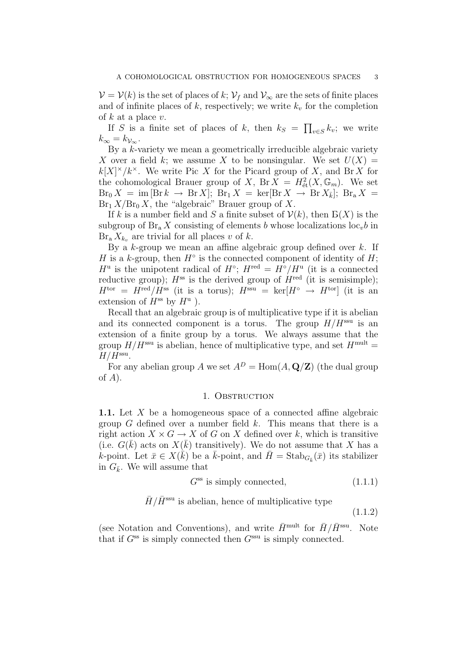$\mathcal{V} = \mathcal{V}(k)$  is the set of places of k;  $\mathcal{V}_f$  and  $\mathcal{V}_{\infty}$  are the sets of finite places and of infinite places of k, respectively; we write  $k_v$  for the completion of  $k$  at a place  $v$ .

If S is a finite set of places of k, then  $k_S = \prod_{v \in S} k_v$ ; we write  $k_{\infty} = k_{\mathcal{V}_{\infty}}$ .

By a k-variety we mean a geometrically irreducible algebraic variety X over a field k; we assume X to be nonsingular. We set  $U(X) =$  $k[X]^\times/k^\times$ . We write Pic X for the Picard group of X, and Br X for the cohomological Brauer group of X, Br  $\overline{X} = H^2_{\text{\'et}}(X, \mathbb{G}_m)$ . We set  $\text{Br}_0 X = \text{im} [\text{Br } k \to \text{Br } X]; \text{ Br}_1 X = \text{ker} [\text{Br } X \to \text{Br } X_{\bar{k}}]; \text{ Br}_a X =$  $Br_1 X/Br_0 X$ , the "algebraic" Brauer group of X.

If k is a number field and S a finite subset of  $\mathcal{V}(k)$ , then  $E(X)$  is the subgroup of  $\text{Br}_a X$  consisting of elements b whose localizations loc<sub>v</sub>b in  $\text{Br}_a X_{k_v}$  are trivial for all places v of k.

By a  $k$ -group we mean an affine algebraic group defined over  $k$ . If H is a k-group, then  $H^{\circ}$  is the connected component of identity of H;  $H^{\mathrm{u}}$  is the unipotent radical of  $H^{\circ}$ ;  $H^{\mathrm{red}} = H^{\circ}/H^{\mathrm{u}}$  (it is a connected reductive group);  $H^{ss}$  is the derived group of  $H^{red}$  (it is semisimple);  $H^{\text{tor}} = H^{\text{red}}/H^{\text{ss}}$  (it is a torus);  $H^{\text{ssu}} = \text{ker}[H^{\circ} \rightarrow H^{\text{tor}}]$  (it is an extension of  $H^{ss}$  by  $H^u$ ).

Recall that an algebraic group is of multiplicative type if it is abelian and its connected component is a torus. The group  $H/H<sup>ssu</sup>$  is an extension of a finite group by a torus. We always assume that the group  $H/H<sup>ssu</sup>$  is abelian, hence of multiplicative type, and set  $H<sup>mult</sup>$  =  $H/H<sup>ssu</sup>$ .

For any abelian group A we set  $A^D = \text{Hom}(A, \mathbf{Q}/\mathbf{Z})$  (the dual group of  $A$ ).

# 1. OBSTRUCTION

1.1. Let X be a homogeneous space of a connected affine algebraic group  $G$  defined over a number field  $k$ . This means that there is a right action  $X \times G \to X$  of G on X defined over k, which is transitive (i.e.  $G(\bar{k})$  acts on  $X(\bar{k})$  transitively). We do not assume that X has a k-point. Let  $\bar{x} \in X(\bar{k})$  be a  $\bar{k}$ -point, and  $\bar{H} = \text{Stab}_{G_{\bar{k}}}(\bar{x})$  its stabilizer in  $G_{\bar{k}}$ . We will assume that

$$
G^{\rm ss} \text{ is simply connected}, \tag{1.1.1}
$$

$$
\bar{H}/\bar{H}^{\text{ssu}}
$$
 is abelian, hence of multiplicative type  $(1.1.2)$ 

(see Notation and Conventions), and write  $\bar{H}^{\text{mult}}$  for  $\bar{H}/\bar{H}^{\text{ssu}}$ . Note that if  $G^{ss}$  is simply connected then  $G^{ssu}$  is simply connected.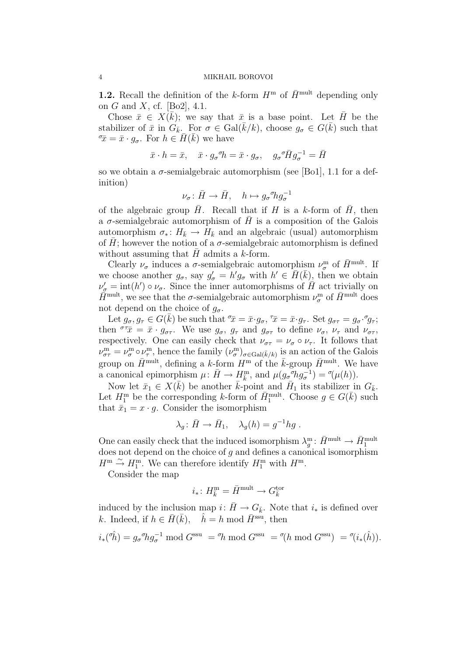**1.2.** Recall the definition of the k-form  $H^{\text{m}}$  of  $\bar{H}^{\text{mult}}$  depending only on G and X, cf. [Bo2],  $4.1$ .

Chose  $\bar{x} \in X(\bar{k})$ ; we say that  $\bar{x}$  is a base point. Let  $\bar{H}$  be the stabilizer of  $\bar{x}$  in  $G_{\bar{k}}$ . For  $\sigma \in \text{Gal}(\bar{k}/k)$ , choose  $g_{\sigma} \in G(\bar{k})$  such that  $\sigma_{\bar{x}} = \bar{x} \cdot g_{\sigma}$ . For  $h \in \bar{H}(\bar{k})$  we have

$$
\bar{x} \cdot h = \bar{x}, \quad \bar{x} \cdot g_{\sigma}{}^{\sigma} h = \bar{x} \cdot g_{\sigma}, \quad g_{\sigma}{}^{\sigma} \bar{H} g_{\sigma}^{-1} = \bar{H}
$$

so we obtain a  $\sigma$ -semialgebraic automorphism (see [Bo1], 1.1 for a definition)

$$
\nu_{\sigma} \colon \bar{H} \to \bar{H}, \quad h \mapsto g_{\sigma}{}^{\sigma} h g_{\sigma}^{-1}
$$

of the algebraic group  $\bar{H}$ . Recall that if H is a k-form of  $\bar{H}$ , then a  $\sigma$ -semialgebraic automorphism of H is a composition of the Galois automorphism  $\sigma_* : H_{\bar{k}} \to H_{\bar{k}}$  and an algebraic (usual) automorphism of  $\bar{H}$ ; however the notion of a  $\sigma$ -semialgebraic automorphism is defined without assuming that  $\bar{H}$  admits a k-form.

Clearly  $\nu_{\sigma}$  induces a  $\sigma$ -semialgebraic automorphism  $\nu_{\sigma}^{\text{m}}$  of  $\bar{H}^{\text{mult}}$ . If we choose another  $g_{\sigma}$ , say  $g'_{\sigma} = h' g_{\sigma}$  with  $h' \in \overline{H}(\overline{k})$ , then we obtain  $\nu'_{\sigma} = \text{int}(h') \circ \nu_{\sigma}$ . Since the inner automorphisms of  $\overline{H}$  act trivially on  $\tilde{H}^{\text{mult}}$ , we see that the  $\sigma$ -semialgebraic automorphism  $\nu_{\sigma}^{\text{m}}$  of  $\bar{H}^{\text{mult}}$  does not depend on the choice of  $g_{\sigma}$ .

Let  $g_{\sigma}, g_{\tau} \in G(\bar{k})$  be such that  $\bar{x} = \bar{x} \cdot g_{\sigma}, \bar{x} = \bar{x} \cdot g_{\tau}$ . Set  $g_{\sigma \tau} = g_{\sigma} \cdot g_{\tau}$ ; then  $\sigma \tau \bar{x} = \bar{x} \cdot g_{\sigma \tau}$ . We use  $g_{\sigma}$ ,  $g_{\tau}$  and  $g_{\sigma \tau}$  to define  $\nu_{\sigma}$ ,  $\nu_{\tau}$  and  $\nu_{\sigma \tau}$ , respectively. One can easily check that  $\nu_{\sigma\tau} = \nu_{\sigma} \circ \nu_{\tau}$ . It follows that  $\nu_{\sigma\tau}^{\text{m}} = \nu_{\sigma}^{\text{m}} \circ \nu_{\tau}^{\text{m}}$ , hence the family  $(\nu_{\sigma}^{\text{m}})_{\sigma \in \text{Gal}(\bar{k}/k)}$  is an action of the Galois group on  $\bar{H}^{\text{mult}}$ , defining a k-form  $H^{\text{m}}$  of the  $\bar{k}$ -group  $\bar{H}^{\text{mult}}$ . We have a canonical epimorphism  $\mu: \bar{H} \to H_{\bar{k}}^{\text{m}}$ , and  $\mu(g_{\sigma} \sigma h g_{\sigma}^{-1}) = \sigma(\mu(h)).$ 

Now let  $\bar{x}_1 \in X(\bar{k})$  be another  $\bar{k}$ -point and  $\bar{H}_1$  its stabilizer in  $G_{\bar{k}}$ . Let  $H_1^{\text{m}}$  be the corresponding k-form of  $\bar{H}_1^{\text{mult}}$ . Choose  $g \in G(\bar{k})$  such that  $\bar{x}_1 = x \cdot g$ . Consider the isomorphism

$$
\lambda_g \colon \bar{H} \to \bar{H}_1, \quad \lambda_g(h) = g^{-1} h g \ .
$$

One can easily check that the induced isomorphism  $\lambda_g^m: \bar{H}^{\text{mult}} \to \bar{H}^{\text{mult}}_1$ does not depend on the choice of  $g$  and defines a canonical isomorphism  $H^{\mathrm{m}} \stackrel{\sim}{\rightarrow} H_1^{\mathrm{m}}$ . We can therefore identify  $H_1^{\mathrm{m}}$  with  $H^{\mathrm{m}}$ .

Consider the map

$$
i_*\colon H^{\mathsf{m}}_{\bar{k}}=\bar{H}^{\mathsf{mult}}\to G^{\text{tor}}_{\bar{k}}
$$

induced by the inclusion map  $i: \bar{H} \to G_{\bar{k}}$ . Note that  $i_*$  is defined over k. Indeed, if  $h \in \overline{H}(\overline{k})$ ,  $\hat{h} = h \mod \overline{H}^{\text{ssu}}$ , then

$$
i_*(\hat{\eta}) = g_{\sigma} \eta g_{\sigma}^{-1} \mod G^{\text{ssu}} = \eta \mod G^{\text{ssu}} = \eta (h \mod G^{\text{ssu}}) = \eta (i_*(\hat{h})).
$$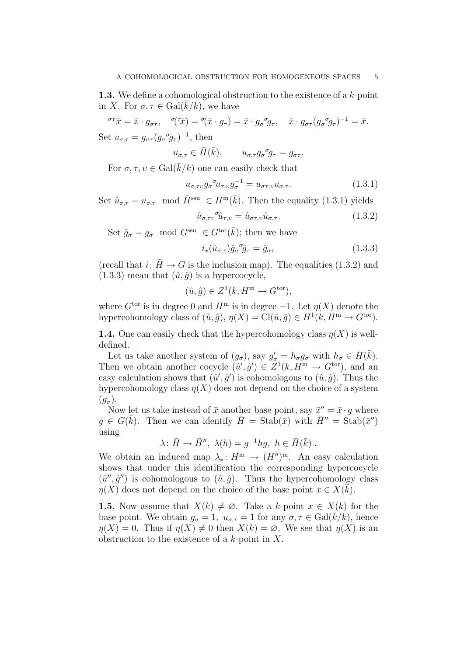**1.3.** We define a cohomological obstruction to the existence of a  $k$ -point in X. For  $\sigma, \tau \in \text{Gal}(k/k)$ , we have

$$
\sigma^{\tau}\bar{x} = \bar{x} \cdot g_{\sigma\tau}, \quad \sigma(\tau\bar{x}) = \sigma(\bar{x} \cdot g_{\tau}) = \bar{x} \cdot g_{\sigma}{}^{\sigma}g_{\tau}, \quad \bar{x} \cdot g_{\sigma\tau}(g_{\sigma}{}^{\sigma}g_{\tau})^{-1} = \bar{x}.
$$
  
Set  $u_{\sigma,\tau} = g_{\sigma\tau}(g_{\sigma}{}^{\sigma}g_{\tau})^{-1}$ , then

$$
u_{\sigma,\tau} \in \bar{H}(\bar{k}), \qquad u_{\sigma,\tau} g_{\sigma}^{\ \sigma} g_{\tau} = g_{\sigma\tau}.
$$

For  $\sigma, \tau, \nu \in \text{Gal}(\overline{k}/k)$  one can easily check that

$$
u_{\sigma,\tau\upsilon}g_{\sigma}{}^{\sigma}u_{\tau,\upsilon}g_{\sigma}^{-1} = u_{\sigma\tau,\upsilon}u_{\sigma,\tau}.
$$
\n(1.3.1)

Set  $\hat{u}_{\sigma,\tau} = u_{\sigma,\tau} \mod \overline{H}^{\text{ssu}} \in H^{\text{m}}(\overline{k})$ . Then the equality (1.3.1) yields

$$
\hat{u}_{\sigma,\tau\sigma} \hat{u}_{\tau,\sigma} = \hat{u}_{\sigma\tau,\sigma} \hat{u}_{\sigma,\tau}.
$$
\n(1.3.2)

Set  $\hat{g}_{\sigma} = g_{\sigma} \mod G^{\text{ssu}} \in G^{\text{tor}}(\bar{k})$ ; then we have

$$
i_*(\hat{u}_{\sigma,\tau})\hat{g}_{\sigma}{}^{\sigma}\hat{g}_{\tau} = \hat{g}_{\sigma\tau} \tag{1.3.3}
$$

(recall that  $i: \bar{H} \to G$  is the inclusion map). The equalities (1.3.2) and  $(1.3.3)$  mean that  $(\hat{u}, \hat{g})$  is a hypercocycle,

$$
(\hat{u}, \hat{g}) \in Z^1(k, H^m \to G^{\text{tor}}),
$$

where  $G^{\text{tor}}$  is in degree 0 and  $H^{\text{m}}$  is in degree -1. Let  $\eta(X)$  denote the hypercohomology class of  $(\hat{u}, \hat{g}), \eta(X) = \text{Cl}(\hat{u}, \hat{g}) \in H^1(k, H^m \to G^{\text{tor}}).$ 

**1.4.** One can easily check that the hypercohomology class  $\eta(X)$  is welldefined.

Let us take another system of  $(g_{\sigma})$ , say  $g'_{\sigma} = h_{\sigma} g_{\sigma}$  with  $h_{\sigma} \in \bar{H}(\bar{k})$ . Then we obtain another cocycle  $(\hat{u}', \hat{g}') \in Z^1(k, H^m \to G^{\text{tor}})$ , and an easy calculation shows that  $(\hat{u}', \hat{g}')$  is cohomologous to  $(\hat{u}, \hat{g})$ . Thus the hypercohomology class  $\eta(X)$  does not depend on the choice of a system  $(g_{\sigma}).$ 

Now let us take instead of  $\bar{x}$  another base point, say  $\bar{x}'' = \bar{x} \cdot g$  where  $g \in G(\bar{k})$ . Then we can identify  $\bar{H} = \text{Stab}(\bar{x})$  with  $\bar{H}'' = \text{Stab}(\bar{x}'')$ using

$$
\lambda \colon \bar{H} \to \bar{H}'', \ \lambda(h) = g^{-1}hg, \ h \in \bar{H}(\bar{k}) \ .
$$

We obtain an induced map  $\lambda_* \colon H^m \to (H'')^m$ . An easy calculation shows that under this identification the corresponding hypercocycle  $(\hat{u}'', \hat{g}'')$  is cohomologous to  $(\hat{u}, \hat{g})$ . Thus the hypercohomology class  $\eta(X)$  does not depend on the choice of the base point  $\bar{x} \in X(\bar{k})$ .

**1.5.** Now assume that  $X(k) \neq \emptyset$ . Take a k-point  $x \in X(k)$  for the base point. We obtain  $g_{\sigma} = 1$ ,  $u_{\sigma,\tau} = 1$  for any  $\sigma, \tau \in \text{Gal}(k/k)$ , hence  $\eta(X) = 0$ . Thus if  $\eta(X) \neq 0$  then  $X(k) = \emptyset$ . We see that  $\eta(X)$  is an obstruction to the existence of a  $k$ -point in  $X$ .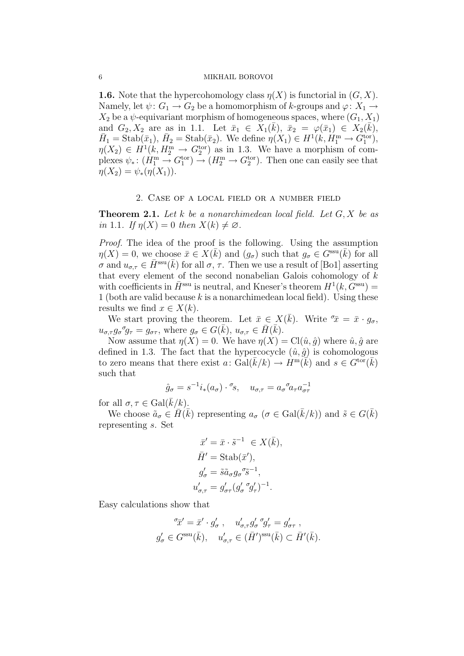### 6 MIKHAIL BOROVOI

**1.6.** Note that the hypercohomology class  $\eta(X)$  is functorial in  $(G, X)$ . Namely, let  $\psi: G_1 \to G_2$  be a homomorphism of k-groups and  $\varphi: X_1 \to$  $X_2$  be a  $\psi$ -equivariant morphism of homogeneous spaces, where  $(G_1, X_1)$ and  $G_2, X_2$  are as in 1.1. Let  $\bar{x}_1 \in X_1(\bar{k}), \ \bar{x}_2 = \varphi(\bar{x}_1) \in X_2(\bar{k}),$  $\bar{H}_1 = \text{Stab}(\bar{x}_1), \ \bar{H}_2 = \text{Stab}(\bar{x}_2).$  We define  $\eta(X_1) \in H^1(k, \bar{H}_1^m \to G_1^{\text{tor}}),$  $\eta(X_2) \in H^1(k, H_2^m \to G_2^{\text{tor}})$  as in 1.3. We have a morphism of complexes  $\psi_*\colon (H_1^{\text{m}} \to G_1^{\text{tor}}) \to (H_2^{\text{m}} \to G_2^{\text{tor}})$ . Then one can easily see that  $\eta(X_2) = \psi_*(\eta(X_1)).$ 

## 2. Case of a local field or a number field

**Theorem 2.1.** Let k be a nonarchimedean local field. Let  $G, X$  be as in 1.1. If  $\eta(X) = 0$  then  $X(k) \neq \emptyset$ .

Proof. The idea of the proof is the following. Using the assumption  $\eta(X) = 0$ , we choose  $\bar{x} \in X(\bar{k})$  and  $(g_{\sigma})$  such that  $g_{\sigma} \in G^{\text{ssu}}(\bar{k})$  for all  $\sigma$  and  $u_{\sigma,\tau} \in \bar{H}^{\text{ssu}}(\bar{k})$  for all  $\sigma, \tau$ . Then we use a result of [Bo1] asserting that every element of the second nonabelian Galois cohomology of  $k$ with coefficients in  $\bar{H}^{\text{ssu}}$  is neutral, and Kneser's theorem  $H^1(k, \tilde{G}^{\text{ssu}})$  = 1 (both are valid because k is a nonarchimedean local field). Using these results we find  $x \in X(k)$ .

We start proving the theorem. Let  $\bar{x} \in X(\bar{k})$ . Write  $\bar{x} = \bar{x} \cdot g_{\sigma}$ ,  $u_{\sigma,\tau}g_{\sigma}{}^{\sigma}g_{\tau} = g_{\sigma\tau}$ , where  $g_{\sigma} \in G(\bar{k}), u_{\sigma,\tau} \in \bar{H}(\bar{k}).$ 

Now assume that  $\eta(X) = 0$ . We have  $\eta(X) = \text{Cl}(\hat{u}, \hat{g})$  where  $\hat{u}, \hat{g}$  are defined in 1.3. The fact that the hypercocycle  $(\hat{u}, \hat{g})$  is cohomologous to zero means that there exist  $a: \operatorname{Gal}(\bar{k}/k) \to H^m(\bar{k})$  and  $s \in G^{\text{tor}}(\bar{k})$ such that

$$
\hat{g}_{\sigma} = s^{-1} i_{*}(a_{\sigma}) \cdot {}^{\sigma} s, \quad u_{\sigma,\tau} = a_{\sigma} {}^{\sigma} a_{\tau} a_{\sigma\tau}^{-1}
$$

for all  $\sigma, \tau \in \text{Gal}(k/k)$ .

We choose  $\tilde{a}_{\sigma} \in \overline{H}(\overline{k})$  representing  $a_{\sigma}$   $(\sigma \in \text{Gal}(\overline{k}/k))$  and  $\tilde{s} \in G(\overline{k})$ representing s. Set

$$
\begin{aligned}\n\bar{x}' &= \bar{x} \cdot \tilde{s}^{-1} \in X(\bar{k}), \\
\bar{H}' &= \text{Stab}(\bar{x}'), \\
g'_{\sigma} &= \tilde{s}\tilde{a}_{\sigma}g_{\sigma}{}^{\sigma}\tilde{s}^{-1}, \\
u'_{\sigma,\tau} &= g'_{\sigma\tau}(g'_{\sigma}{}^{\sigma}g'_{\tau})^{-1}.\n\end{aligned}
$$

Easy calculations show that

$$
\sigma_{\overline{x}}' = \overline{x}' \cdot g'_{\sigma}, \quad u'_{\sigma,\tau} g'_{\sigma} \sigma_{\sigma} = g'_{\sigma \tau},
$$
  

$$
g'_{\sigma} \in G^{\text{ssu}}(\overline{k}), \quad u'_{\sigma,\tau} \in (\overline{H}')^{\text{ssu}}(\overline{k}) \subset \overline{H}'(\overline{k}).
$$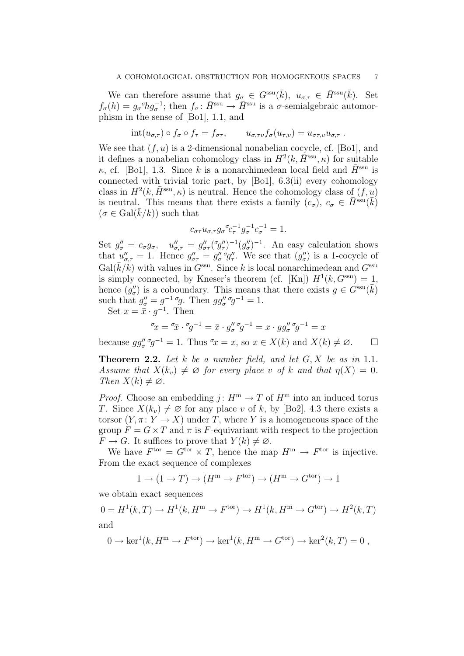We can therefore assume that  $g_{\sigma} \in G^{\text{ssu}}(\bar{k}), u_{\sigma,\tau} \in \bar{H}^{\text{ssu}}(\bar{k})$ . Set  $f_{\sigma}(h) = g_{\sigma}^{\sigma} h g_{\sigma}^{-1}$ ; then  $f_{\sigma} \colon \bar{H}^{\text{ssu}} \to \bar{H}^{\text{ssu}}$  is a  $\sigma$ -semialgebraic automorphism in the sense of [Bo1], 1.1, and

$$
int(u_{\sigma,\tau}) \circ f_{\sigma} \circ f_{\tau} = f_{\sigma\tau}, \qquad u_{\sigma,\tau\upsilon} f_{\sigma}(u_{\tau,\upsilon}) = u_{\sigma\tau,\upsilon} u_{\sigma,\tau}.
$$

We see that  $(f, u)$  is a 2-dimensional nonabelian cocycle, cf. [Bo1], and it defines a nonabelian cohomology class in  $H^2(k, \tilde{H}^{\text{ssu}}, \kappa)$  for suitable κ, cf. [Bo1], 1.3. Since k is a nonarchimedean local field and  $\bar{H}^{\rm ssu}$  is connected with trivial toric part, by [Bo1], 6.3(ii) every cohomology class in  $H^2(k, \bar{H}^{\text{ssu}}, \kappa)$  is neutral. Hence the cohomology class of  $(f, u)$ is neutral. This means that there exists a family  $(c_{\sigma})$ ,  $c_{\sigma} \in \overline{H}^{\text{ssu}}(\overline{k})$  $(\sigma \in \text{Gal}(k/k))$  such that

$$
c_{\sigma\tau}u_{\sigma,\tau}g_{\sigma}{}^{\sigma}c_{\tau}^{-1}g_{\sigma}^{-1}c_{\sigma}^{-1} = 1.
$$

Set  $g''_{\sigma} = c_{\sigma}g_{\sigma}$ ,  $u''_{\sigma,\tau} = g''_{\sigma\tau}(\sigma g''_{\tau})^{-1}(g''_{\sigma})^{-1}$ . An easy calculation shows that  $u''_{\sigma,\tau} = 1$ . Hence  $g''_{\sigma\tau} = g''_{\sigma} g''_{\tau}$ . We see that  $(g''_{\sigma})$  is a 1-cocycle of  $Gal(\overline{k}/k)$  with values in  $G<sup>ssu</sup>$ . Since k is local nonarchimedean and  $G<sup>ssu</sup>$ is simply connected, by Kneser's theorem (cf. [Kn])  $H^1(k, G^{\text{ssu}}) = 1$ , hence  $(g''_{\sigma})$  is a coboundary. This means that there exists  $g \in G^{\text{ssu}}(\bar{k})$ such that  $g''_{\sigma} = g^{-1} \sigma g$ . Then  $gg''_{\sigma} \sigma g^{-1} = 1$ .

Set  $x = \bar{x} \cdot g^{-1}$ . Then

$$
\sigma_x = \sigma_x \cdot \sigma_g - 1 = \bar{x} \cdot g''_{\sigma} \sigma_g - 1 = x \cdot g g''_{\sigma} \sigma_g - 1 = x
$$

because  $gg''_{\sigma} g^{-1} = 1$ . Thus  $\sigma x = x$ , so  $x \in X(k)$  and  $X(k) \neq \emptyset$ .  $\Box$ 

**Theorem 2.2.** Let  $k$  be a number field, and let  $G, X$  be as in 1.1. Assume that  $X(k_v) \neq \emptyset$  for every place v of k and that  $\eta(X) = 0$ . Then  $X(k) \neq \emptyset$ .

*Proof.* Choose an embedding  $i: H^m \to T$  of  $H^m$  into an induced torus T. Since  $X(k_v) \neq \emptyset$  for any place v of k, by [Bo2], 4.3 there exists a torsor  $(Y, \pi : Y \to X)$  under T, where Y is a homogeneous space of the group  $F = G \times T$  and  $\pi$  is F-equivariant with respect to the projection  $F \to G$ . It suffices to prove that  $Y(k) \neq \emptyset$ .

We have  $F<sup>tor</sup> = G<sup>tor</sup> \times T$ , hence the map  $H<sup>m</sup> \to F<sup>tor</sup>$  is injective. From the exact sequence of complexes

$$
1 \to (1 \to T) \to (H^{\rm m} \to F^{\rm tor}) \to (H^{\rm m} \to G^{\rm tor}) \to 1
$$

we obtain exact sequences

 $0 = H<sup>1</sup>(k, T) \rightarrow H<sup>1</sup>(k, H<sup>m</sup> \rightarrow F<sup>tor</sup>) \rightarrow H<sup>1</sup>(k, H<sup>m</sup> \rightarrow G<sup>tor</sup>) \rightarrow H<sup>2</sup>(k, T)$ and

$$
0 \to \ker^1(k, H^m \to F^{\text{tor}}) \to \ker^1(k, H^m \to G^{\text{tor}}) \to \ker^2(k, T) = 0,
$$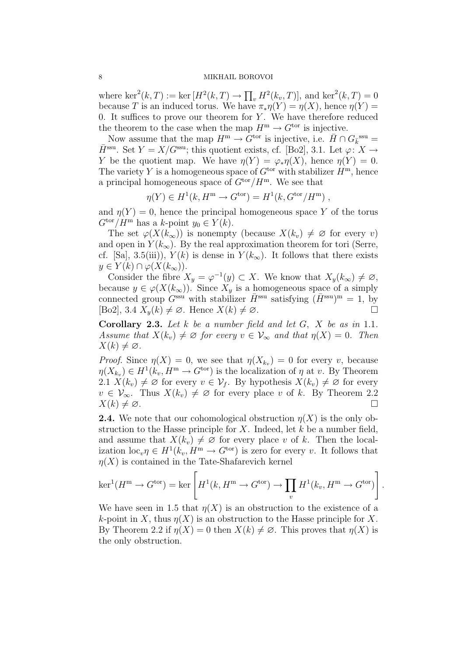#### 8 MIKHAIL BOROVOI

where  $\ker^2(k,T) := \ker[H^2(k,T) \to \prod_v H^2(k_v,T)],$  and  $\ker^2(k,T) = 0$ because T is an induced torus. We have  $\pi_*\eta(Y) = \eta(X)$ , hence  $\eta(Y) =$ 0. It suffices to prove our theorem for  $Y$ . We have therefore reduced the theorem to the case when the map  $H^m \to G^{\text{tor}}$  is injective.

Now assume that the map  $H^m \to \tilde{G}^{\text{tor}}$  is injective, i.e.  $\bar{H} \cap G_{\bar{k}}^{\text{ssu}} =$  $\bar{H}^{\text{ssu}}$ . Set  $Y = X/G^{\text{ssu}}$ ; this quotient exists, cf. [Bo2], 3.1. Let  $\varphi: X \to$ Y be the quotient map. We have  $\eta(Y) = \varphi_* \eta(X)$ , hence  $\eta(Y) = 0$ . The variety Y is a homogeneous space of  $G<sup>tor</sup>$  with stabilizer  $H<sup>m</sup>$ , hence a principal homogeneous space of  $G<sup>tor</sup>/H<sup>m</sup>$ . We see that

$$
\eta(Y) \in H^1(k, H^m \to G^{\text{tor}}) = H^1(k, G^{\text{tor}}/H^m) ,
$$

and  $\eta(Y) = 0$ , hence the principal homogeneous space Y of the torus  $G^{\text{tor}}/H^{\text{m}}$  has a k-point  $y_0 \in Y(k)$ .

The set  $\varphi(X(k_{\infty}))$  is nonempty (because  $X(k_{v}) \neq \emptyset$  for every v) and open in  $Y(k_{\infty})$ . By the real approximation theorem for tori (Serre, cf. [Sa], 3.5(iii)),  $Y(k)$  is dense in  $Y(k_{\infty})$ . It follows that there exists  $y \in Y(k) \cap \varphi(X(k_{\infty}))$ .

Consider the fibre  $X_y = \varphi^{-1}(y) \subset X$ . We know that  $X_y(k_\infty) \neq \varnothing$ , because  $y \in \varphi(X(k_{\infty}))$ . Since  $X_{y}$  is a homogeneous space of a simply connected group  $G^{\text{ssu}}$  with stabilizer  $\bar{H}^{\text{ssu}}$  satisfying  $(H^{\text{ssu}})^m = 1$ , by  $[Bo2], 3.4 \ X_u(k) \neq \emptyset$ . Hence  $X(k) \neq \emptyset$ .

**Corollary 2.3.** Let  $k$  be a number field and let  $G$ ,  $X$  be as in 1.1. Assume that  $X(k_v) \neq \emptyset$  for every  $v \in V_{\infty}$  and that  $\eta(X) = 0$ . Then  $X(k) \neq \emptyset$ .

*Proof.* Since  $\eta(X) = 0$ , we see that  $\eta(X_{k_v}) = 0$  for every v, because  $\eta(X_{k_v}) \in H^1(k_v, H^m \to G^{\text{tor}})$  is the localization of  $\eta$  at v. By Theorem 2.1  $X(k_v) \neq \emptyset$  for every  $v \in \mathcal{V}_f$ . By hypothesis  $X(k_v) \neq \emptyset$  for every  $v \in \mathcal{V}_{\infty}$ . Thus  $X(k_v) \neq \emptyset$  for every place v of k. By Theorem 2.2  $X(k) \neq \emptyset$ .

**2.4.** We note that our cohomological obstruction  $\eta(X)$  is the only obstruction to the Hasse principle for  $X$ . Indeed, let  $k$  be a number field, and assume that  $X(k_v) \neq \emptyset$  for every place v of k. Then the localization  $\mathrm{loc}_{v} \eta \in H^{1}(k_{v}, H^{m} \to G^{\text{tor}})$  is zero for every v. It follows that  $\eta(X)$  is contained in the Tate-Shafarevich kernel

$$
\ker^1(H^{\mathbf{m}} \to G^{\text{tor}}) = \ker \left[ H^1(k, H^{\mathbf{m}} \to G^{\text{tor}}) \to \prod_v H^1(k_v, H^{\mathbf{m}} \to G^{\text{tor}}) \right].
$$

We have seen in 1.5 that  $\eta(X)$  is an obstruction to the existence of a k-point in X, thus  $\eta(X)$  is an obstruction to the Hasse principle for X. By Theorem 2.2 if  $\eta(X) = 0$  then  $X(k) \neq \emptyset$ . This proves that  $\eta(X)$  is the only obstruction.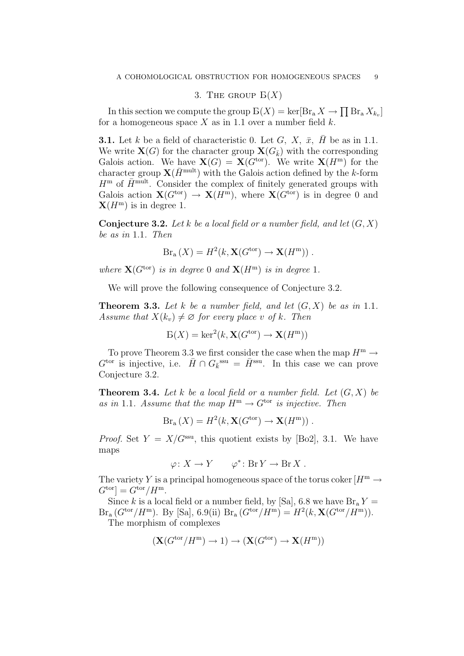# 3. THE GROUP  $B(X)$

In this section we compute the group  $B(X) = \ker[Br_a X \to \prod Br_a X_{k_v}]$ for a homogeneous space X as in 1.1 over a number field  $k$ .

**3.1.** Let k be a field of characteristic 0. Let G, X,  $\bar{x}$ ,  $\bar{H}$  be as in 1.1. We write  $\mathbf{X}(G)$  for the character group  $\mathbf{X}(G_{\bar{k}})$  with the corresponding Galois action. We have  $\mathbf{X}(G) = \mathbf{X}(G^{\text{tor}})$ . We write  $\mathbf{X}(H^{\text{m}})$  for the character group  $\mathbf{X}(\bar{H}^{\text{mult}})$  with the Galois action defined by the k-form  $H^{\rm m}$  of  $\bar{H}^{\rm mult}$ . Consider the complex of finitely generated groups with Galois action  $\mathbf{X}(G^{\text{tor}}) \to \mathbf{X}(H^{\text{m}})$ , where  $\mathbf{X}(G^{\text{tor}})$  is in degree 0 and  $\mathbf{X}(H^{\mathrm{m}})$  is in degree 1.

**Conjecture 3.2.** Let k be a local field or a number field, and let  $(G, X)$ be as in 1.1. Then

$$
Br_{a}(X) = H^{2}(k, \mathbf{X}(G^{\text{tor}}) \to \mathbf{X}(H^{\text{m}})).
$$

where  $\mathbf{X}(G^{\text{tor}})$  is in degree 0 and  $\mathbf{X}(H^{\text{m}})$  is in degree 1.

We will prove the following consequence of Conjecture 3.2.

**Theorem 3.3.** Let k be a number field, and let  $(G, X)$  be as in 1.1. Assume that  $X(k_v) \neq \emptyset$  for every place v of k. Then

$$
E(X) = \ker^2(k, \mathbf{X}(G^{\text{tor}}) \to \mathbf{X}(H^{\text{m}}))
$$

To prove Theorem 3.3 we first consider the case when the map  $H^m \to$  $G^{\text{tor}}$  is injective, i.e.  $\bar{H} \cap G_k^{\text{ssu}} = \bar{H}^{\text{ssu}}$ . In this case we can prove Conjecture 3.2.

**Theorem 3.4.** Let k be a local field or a number field. Let  $(G, X)$  be as in 1.1. Assume that the map  $H^m \to G^{tor}$  is injective. Then

$$
Br_{a}(X) = H^{2}(k, \mathbf{X}(G^{\text{tor}}) \to \mathbf{X}(H^{\text{m}})).
$$

*Proof.* Set  $Y = X/G^{\text{ssu}}$ , this quotient exists by [Bo2], 3.1. We have maps

$$
\varphi \colon X \to Y \qquad \varphi^* \colon \text{Br } Y \to \text{Br } X \ .
$$

The variety Y is a principal homogeneous space of the torus coker  $[H^m \to$  $G^{\text{tor}}$  =  $G^{\text{tor}}/H^{\text{m}}$ .

Since k is a local field or a number field, by [Sa], 6.8 we have  $\text{Br}_a Y =$  $Br_a (G^{tor}/H^m)$ . By [Sa], 6.9(ii)  $Br_a (G^{tor}/H^m) = H^2(k, \mathbf{X}(G^{tor}/H^m))$ . The morphism of complexes

$$
(\mathbf{X}(G^{\mathrm{tor}}/H^{\mathrm{m}}) \to 1) \to (\mathbf{X}(G^{\mathrm{tor}}) \to \mathbf{X}(H^{\mathrm{m}}))
$$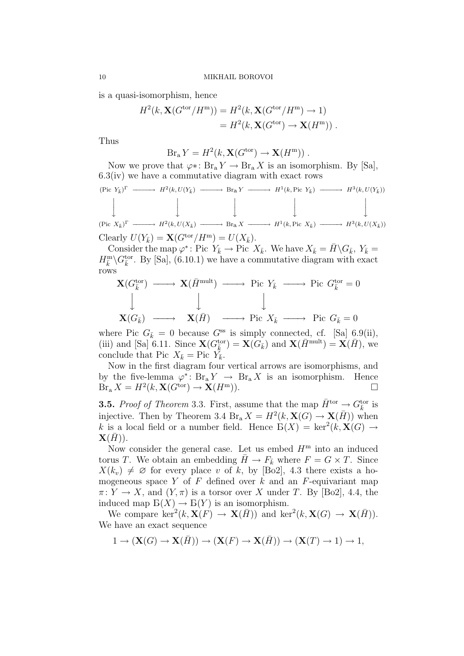is a quasi-isomorphism, hence

$$
H2(k, \mathbf{X}(Gtor/Hm)) = H2(k, \mathbf{X}(Gtor/Hm) \to 1)
$$
  
= H<sup>2</sup>(k, \mathbf{X}(G<sup>tor</sup>) \to \mathbf{X}(H<sup>m</sup>)).

Thus

$$
Br_{a} Y = H^{2}(k, \mathbf{X}(G^{\text{tor}}) \to \mathbf{X}(H^{\text{m}}))
$$
.

Now we prove that  $\varphi$ ∗: Br<sub>a</sub>  $Y \to \text{Br}_a X$  is an isomorphism. By [Sa], 6.3(iv) we have a commutative diagram with exact rows

$$
\begin{array}{cccc}\n(\text{Pic } Y_{\bar{k}})^{\Gamma} & \longrightarrow & H^{2}(k, U(Y_{\bar{k}}) \longrightarrow \text{Br}_{a} Y \longrightarrow H^{1}(k, \text{Pic } Y_{\bar{k}}) \longrightarrow & H^{3}(k, U(Y_{\bar{k}})) \\
& \downarrow & \downarrow & \downarrow & \downarrow & \downarrow & \downarrow & \downarrow \\
(\text{Pic } X_{\bar{k}})^{\Gamma} & \longrightarrow & H^{2}(k, U(X_{\bar{k}}) \longrightarrow \text{Br}_{a} X \longrightarrow & H^{1}(k, \text{Pic } X_{\bar{k}}) \longrightarrow & H^{3}(k, U(X_{\bar{k}})) \\
\text{Clearly } U(Y_{\bar{k}}) = \mathbf{X}(G^{\text{tor}}/H^{\text{m}}) = U(X_{\bar{k}}).\n\end{array}
$$

Consider the map  $\varphi^*:$  Pic  $Y_{\bar{k}} \to \text{Pic } X_{\bar{k}}$ . We have  $X_{\bar{k}} = \bar{H} \backslash G_{\bar{k}}$ ,  $Y_{\bar{k}} =$  $H^{\text{m}}_{\overline{k}} \backslash G^{\text{tor}}_{\overline{k}}$ . By [Sa], (6.10.1) we have a commutative diagram with exact rows

$$
\begin{array}{cccc}\n\mathbf{X}(G_{\bar{k}}^{\text{tor}}) & \longrightarrow & \mathbf{X}(\bar{H}^{\text{mult}}) & \longrightarrow & \text{Pic } Y_{\bar{k}} & \longrightarrow & \text{Pic } G_{\bar{k}}^{\text{tor}} = 0 \\
\downarrow & & \downarrow & & \downarrow & \\
\mathbf{X}(G_{\bar{k}}) & \longrightarrow & \mathbf{X}(\bar{H}) & \longrightarrow & \text{Pic } X_{\bar{k}} & \longrightarrow & \text{Pic } G_{\bar{k}} = 0\n\end{array}
$$

where Pic  $G_{\bar{k}} = 0$  because  $G^{ss}$  is simply connected, cf. [Sa] 6.9(ii), (iii) and [Sa] 6.11. Since  $\mathbf{X}(G_{\bar{k}}^{\text{tor}}) = \mathbf{X}(G_{\bar{k}})$  and  $\mathbf{X}(\bar{H}^{\text{mult}}) = \mathbf{X}(\bar{H})$ , we conclude that Pic  $X_{\bar{k}}$  = Pic  $Y_{\bar{k}}$ .

Now in the first diagram four vertical arrows are isomorphisms, and by the five-lemma  $\varphi^* \colon Br_a Y \to \text{Br}_a X$  is an isomorphism. Hence  $\operatorname{Br}_{\mathrm{a}} X = H^2(k, \mathbf{X}(G^{\mathrm{tor}}) \to \mathbf{X}(H^{\mathrm{m}})).$ 

**3.5.** Proof of Theorem 3.3. First, assume that the map  $\bar{H}^{\text{tor}} \to G_{\bar{k}}^{\text{tor}}$  is injective. Then by Theorem 3.4  $Br_a X = H^2(k, \mathbf{X}(G) \to \mathbf{X}(\overline{H}))$  when k is a local field or a number field. Hence  $\mathcal{B}(X) = \ker^2(k, \mathbf{X}(G) \to$  $\mathbf{X}(\bar{H})$ ).

Now consider the general case. Let us embed  $H<sup>m</sup>$  into an induced torus T. We obtain an embedding  $\bar{H} \to F_{\bar{k}}$  where  $F = G \times T$ . Since  $X(k_v) \neq \emptyset$  for every place v of k, by [Bo2], 4.3 there exists a homogeneous space Y of F defined over  $k$  and an F-equivariant map  $\pi: Y \to X$ , and  $(Y, \pi)$  is a torsor over X under T. By [Bo2], 4.4, the induced map  $E(X) \to E(Y)$  is an isomorphism.

We compare  $\ker^2(k, \mathbf{X}(F) \to \mathbf{X}(\bar{H}))$  and  $\ker^2(k, \mathbf{X}(G) \to \mathbf{X}(\bar{H}))$ . We have an exact sequence

$$
1 \to (\mathbf{X}(G) \to \mathbf{X}(\overline{H})) \to (\mathbf{X}(F) \to \mathbf{X}(\overline{H})) \to (\mathbf{X}(T) \to 1) \to 1,
$$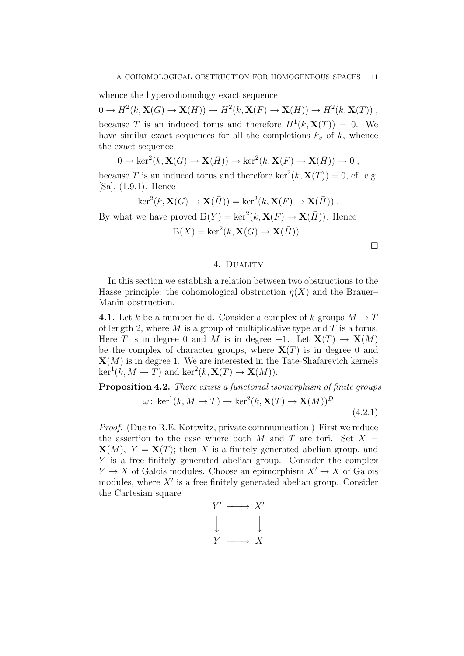whence the hypercohomology exact sequence

 $0 \to H^2(k, \mathbf{X}(G) \to \mathbf{X}(\overline{H})) \to H^2(k, \mathbf{X}(F) \to \mathbf{X}(\overline{H})) \to H^2(k, \mathbf{X}(T))$ , because T is an induced torus and therefore  $H^1(k, \mathbf{X}(T)) = 0$ . We have similar exact sequences for all the completions  $k_v$  of k, whence the exact sequence

$$
0 \to \ker^2(k, \mathbf{X}(G) \to \mathbf{X}(\overline{H})) \to \ker^2(k, \mathbf{X}(F) \to \mathbf{X}(\overline{H})) \to 0,
$$

because T is an induced torus and therefore  $\ker^2(k, \mathbf{X}(T)) = 0$ , cf. e.g. [Sa], (1.9.1). Hence

$$
\ker^2(k, \mathbf{X}(G) \to \mathbf{X}(\overline{H})) = \ker^2(k, \mathbf{X}(F) \to \mathbf{X}(\overline{H})).
$$

By what we have proved  $\mathcal{B}(Y) = \ker^2(k, \mathbf{X}(F) \to \mathbf{X}(\overline{H}))$ . Hence

$$
E(X) = \ker^2(k, \mathbf{X}(G) \to \mathbf{X}(\overline{H}))
$$
.

 $\Box$ 

### 4. Duality

In this section we establish a relation between two obstructions to the Hasse principle: the cohomological obstruction  $\eta(X)$  and the Brauer– Manin obstruction.

**4.1.** Let k be a number field. Consider a complex of k-groups  $M \to T$ of length 2, where  $M$  is a group of multiplicative type and  $T$  is a torus. Here T is in degree 0 and M is in degree  $-1$ . Let  $X(T) \to X(M)$ be the complex of character groups, where  $X(T)$  is in degree 0 and  $\mathbf{X}(M)$  is in degree 1. We are interested in the Tate-Shafarevich kernels  $\ker^1(k, M \to T)$  and  $\ker^2(k, \mathbf{X}(T) \to \mathbf{X}(M)).$ 

Proposition 4.2. There exists a functorial isomorphism of finite groups

$$
\omega: \ker^1(k, M \to T) \to \ker^2(k, \mathbf{X}(T) \to \mathbf{X}(M))^D
$$
\n(4.2.1)

Proof. (Due to R.E. Kottwitz, private communication.) First we reduce the assertion to the case where both M and T are tori. Set  $X =$  $\mathbf{X}(M)$ ,  $Y = \mathbf{X}(T)$ ; then X is a finitely generated abelian group, and Y is a free finitely generated abelian group. Consider the complex  $Y \to X$  of Galois modules. Choose an epimorphism  $X' \to X$  of Galois modules, where  $X'$  is a free finitely generated abelian group. Consider the Cartesian square

$$
\begin{array}{ccc}\nY' & \longrightarrow & X' \\
\downarrow & & \downarrow \\
Y & \longrightarrow & X\n\end{array}
$$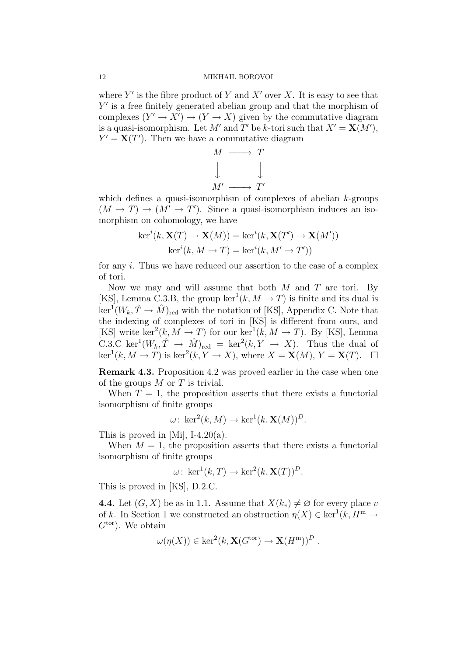where  $Y'$  is the fibre product of Y and X' over X. It is easy to see that Y' is a free finitely generated abelian group and that the morphism of complexes  $(Y' \to X') \to (Y \to X)$  given by the commutative diagram is a quasi-isomorphism. Let M' and T' be k-tori such that  $X' = \mathbf{X}(M')$ ,  $Y' = \mathbf{X}(T')$ . Then we have a commutative diagram

$$
\begin{array}{ccc}\nM & \longrightarrow & T \\
\downarrow & & \downarrow \\
M' & \longrightarrow & T'\n\end{array}
$$

which defines a quasi-isomorphism of complexes of abelian k-groups  $(M \to T) \to (M' \to T')$ . Since a quasi-isomorphism induces an isomorphism on cohomology, we have

$$
\ker^{i}(k, \mathbf{X}(T) \to \mathbf{X}(M)) = \ker^{i}(k, \mathbf{X}(T') \to \mathbf{X}(M'))
$$

$$
\ker^{i}(k, M \to T) = \ker^{i}(k, M' \to T'))
$$

for any i. Thus we have reduced our assertion to the case of a complex of tori.

Now we may and will assume that both  $M$  and  $T$  are tori. By [KS], Lemma C.3.B, the group ker<sup>1</sup> $(k, M \rightarrow T)$  is finite and its dual is  $\ker^1(W_k, \hat{T} \to \hat{M})_{\text{red}}$  with the notation of [KS], Appendix C. Note that the indexing of complexes of tori in [KS] is different from ours, and [KS] write ker<sup>2</sup>(k, M  $\rightarrow$  T) for our ker<sup>1</sup>(k, M  $\rightarrow$  T). By [KS], Lemma C.3.C ker<sup>1</sup> $(W_k, \hat{T} \to \hat{M})_{\text{red}} = \text{ker}^2(k, Y \to X)$ . Thus the dual of  $\ker^1(k, M \to T)$  is  $\ker^2(k, Y \to X)$ , where  $X = \mathbf{X}(M), Y = \mathbf{X}(T)$ .  $\Box$ 

Remark 4.3. Proposition 4.2 was proved earlier in the case when one of the groups  $M$  or  $T$  is trivial.

When  $T = 1$ , the proposition asserts that there exists a functorial isomorphism of finite groups

$$
\omega\colon \ker^2(k,M)\to \ker^1(k,\mathbf{X}(M))^D.
$$

This is proved in [Mi], I-4.20(a).

When  $M = 1$ , the proposition asserts that there exists a functorial isomorphism of finite groups

$$
\omega\colon \ker^1(k,T) \to \ker^2(k,\mathbf{X}(T))^D.
$$

This is proved in [KS], D.2.C.

4.4. Let  $(G, X)$  be as in 1.1. Assume that  $X(k_v) \neq \emptyset$  for every place v of k. In Section 1 we constructed an obstruction  $\eta(X) \in \text{ker}^1(k, H^m \to$  $G<sup>tor</sup>$ ). We obtain

$$
\omega(\eta(X)) \in \ker^2(k, \mathbf{X}(G^{\text{tor}}) \to \mathbf{X}(H^{\text{m}}))^D.
$$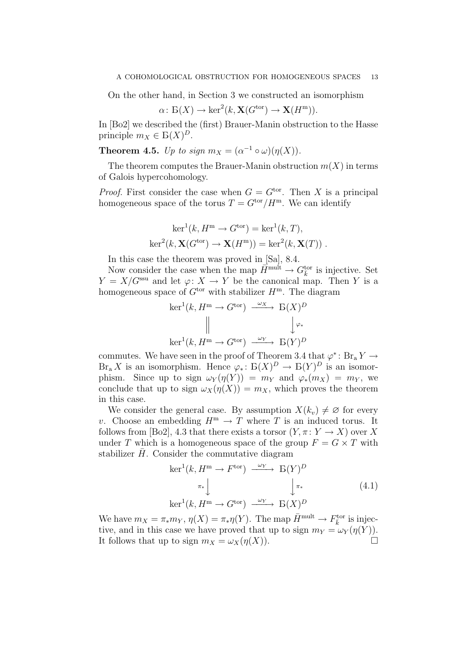On the other hand, in Section 3 we constructed an isomorphism

$$
\alpha \colon \mathcal{B}(X) \to \ker^2(k, \mathbf{X}(G^{\text{tor}}) \to \mathbf{X}(H^{\text{m}})).
$$

In [Bo2] we described the (first) Brauer-Manin obstruction to the Hasse principle  $m_X \in B(X)^D$ .

**Theorem 4.5.** Up to sign  $m_X = (\alpha^{-1} \circ \omega)(\eta(X)).$ 

The theorem computes the Brauer-Manin obstruction  $m(X)$  in terms of Galois hypercohomology.

*Proof.* First consider the case when  $G = G<sup>tor</sup>$ . Then X is a principal homogeneous space of the torus  $T = G^{\text{tor}}/H^{\text{m}}$ . We can identify

$$
\ker^1(k, H^m \to G^{\text{tor}}) = \ker^1(k, T),
$$
  

$$
\ker^2(k, \mathbf{X}(G^{\text{tor}}) \to \mathbf{X}(H^m)) = \ker^2(k, \mathbf{X}(T)).
$$

In this case the theorem was proved in [Sa], 8.4.

Now consider the case when the map  $\overline{H}^{\text{mult}} \to G_{\overline{k}}^{\text{tor}}$  is injective. Set  $Y = X/G^{\text{ssu}}$  and let  $\varphi: X \to Y$  be the canonical map. Then Y is a homogeneous space of  $G<sup>tor</sup>$  with stabilizer  $H<sup>m</sup>$ . The diagram

$$
\ker^1(k, H^m \to G^{\text{tor}}) \xrightarrow{\omega_X} \mathcal{B}(X)^D
$$
  

$$
\parallel \qquad \qquad \downarrow \varphi_*
$$
  

$$
\ker^1(k, H^m \to G^{\text{tor}}) \xrightarrow{\omega_Y} \mathcal{B}(Y)^D
$$

commutes. We have seen in the proof of Theorem 3.4 that  $\varphi^* \colon \text{Br}_a Y \to$  $\text{Br}_a X$  is an isomorphism. Hence  $\varphi_* \colon \text{B}(X)^D \to \text{B}(Y)^D$  is an isomorphism. Since up to sign  $\omega_Y(\eta(Y)) = m_Y$  and  $\varphi_*(m_X) = m_Y$ , we conclude that up to sign  $\omega_X(\eta(X)) = m_X$ , which proves the theorem in this case.

We consider the general case. By assumption  $X(k_n) \neq \emptyset$  for every v. Choose an embedding  $H^m \to T$  where T is an induced torus. It follows from [Bo2], 4.3 that there exists a torsor  $(Y, \pi : Y \to X)$  over X under T which is a homogeneous space of the group  $F = G \times T$  with stabilizer  $H$ . Consider the commutative diagram

$$
\ker^1(k, H^m \to F^{\text{tor}}) \xrightarrow{\omega_Y} \mathcal{B}(Y)^D
$$
  
\n
$$
\pi_* \downarrow \qquad \qquad \downarrow \pi_* \qquad (4.1)
$$
  
\n
$$
\ker^1(k, H^m \to G^{\text{tor}}) \xrightarrow{\omega_Y} \mathcal{B}(X)^D
$$

We have  $m_X = \pi_* m_Y$ ,  $\eta(X) = \pi_* \eta(Y)$ . The map  $\bar{H}^{\text{mult}} \to F_{\bar{k}}^{\text{tor}}$  is injective, and in this case we have proved that up to sign  $m_Y = \omega_Y(\eta(Y)).$ It follows that up to sign  $m_X = \omega_X(\eta(X))$ .